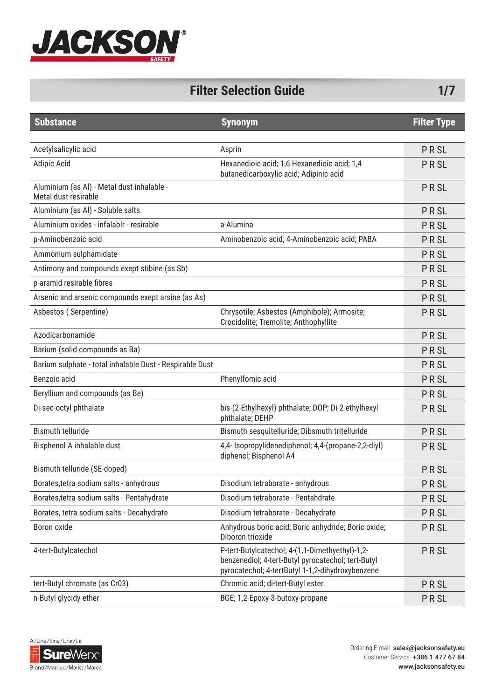

## **Filter Selection Guide 1/7**

| <b>Substance</b>                                                   | <b>Synonym</b>                                                                                                                                            | <b>Filter Type</b> |
|--------------------------------------------------------------------|-----------------------------------------------------------------------------------------------------------------------------------------------------------|--------------------|
|                                                                    |                                                                                                                                                           |                    |
| Acetylsalicylic acid                                               | Asprin                                                                                                                                                    | PRSL               |
| Adipic Acid                                                        | Hexanedioic acid; 1,6 Hexanedioic acid; 1,4<br>butanedicarboxylic acid; Adipinic acid                                                                     | <b>PRSL</b>        |
| Aluminium (as Al) - Metal dust inhalable -<br>Metal dust resirable |                                                                                                                                                           | <b>PRSL</b>        |
| Aluminium (as Al) - Soluble salts                                  |                                                                                                                                                           | PRSL               |
| Aluminium oxides - infalablr - resirable                           | a-Alumina                                                                                                                                                 | <b>PRSL</b>        |
| p-Aminobenzoic acid                                                | Aminobenzoic acid; 4-Aminobenzoic acid; PABA                                                                                                              | <b>PRSL</b>        |
| Ammonium sulphamidate                                              |                                                                                                                                                           | <b>PRSL</b>        |
| Antimony and compounds exept stibine (as Sb)                       |                                                                                                                                                           | <b>PRSL</b>        |
| p-aramid resirable fibres                                          |                                                                                                                                                           | <b>PRSL</b>        |
| Arsenic and arsenic compounds exept arsine (as As)                 |                                                                                                                                                           | <b>PRSL</b>        |
| Asbestos (Serpentine)                                              | Chrysotile; Asbestos (Amphibole); Armosite;<br>Crocidolite; Tremolite; Anthophyllite                                                                      | <b>PRSL</b>        |
| Azodicarbonamide                                                   |                                                                                                                                                           | <b>PRSL</b>        |
| Barium (solid compounds as Ba)                                     |                                                                                                                                                           | <b>PRSL</b>        |
| Barium sulphate - total inhalable Dust - Respirable Dust           |                                                                                                                                                           | <b>PRSL</b>        |
| Benzoic acid                                                       | Phenylfomic acid                                                                                                                                          | <b>PRSL</b>        |
| Beryllium and compounds (as Be)                                    |                                                                                                                                                           | <b>PRSL</b>        |
| Di-sec-octyl phthalate                                             | bis-(2-Ethylhexyl) phthalate; DOP; Di-2-ethylhexyl<br>phthalate; DEHP                                                                                     | <b>PRSL</b>        |
| <b>Bismuth telluride</b>                                           | Bismuth sesquitelluride; Dibsmuth tritelluride                                                                                                            | <b>PRSL</b>        |
| Bisphenol A inhalable dust                                         | 4,4- Isopropylidenediphenol; 4,4-(propane-2,2-diyl)<br>diphencl; Bisphenol A4                                                                             | <b>PRSL</b>        |
| Bismuth telluride (SE-doped)                                       |                                                                                                                                                           | <b>PRSL</b>        |
| Borates, tetra sodium salts - anhydrous                            | Disodium tetraborate - anhydrous                                                                                                                          | <b>PRSL</b>        |
| Borates, tetra sodium salts - Pentahydrate                         | Disodium tetraborate - Pentahdrate                                                                                                                        | <b>PRSL</b>        |
| Borates, tetra sodium salts - Decahydrate                          | Disodium tetraborate - Decahydrate                                                                                                                        | PRSL               |
| Boron oxide                                                        | Anhydrous boric acid; Boric anhydride; Boric oxide;<br>Diboron trioxide                                                                                   | <b>PRSL</b>        |
| 4-tert-Butylcatechol                                               | P-tert-Butylcatechol; 4-(1,1-Dimethyethyl)-1,2-<br>benzenediol; 4-tert-Butyl pyrocatechol; tert-Butyl<br>pyrocatechol; 4-tertButyl 1-1,2-dihydroxybenzene | PRSL               |
| tert-Butyl chromate (as Cr03)                                      | Chromic acid; di-tert-Butyl ester                                                                                                                         | <b>PRSL</b>        |
| n-Butyl glycidy ether                                              | BGE; 1,2-Epoxy-3-butoxy-propane                                                                                                                           | <b>PRSL</b>        |

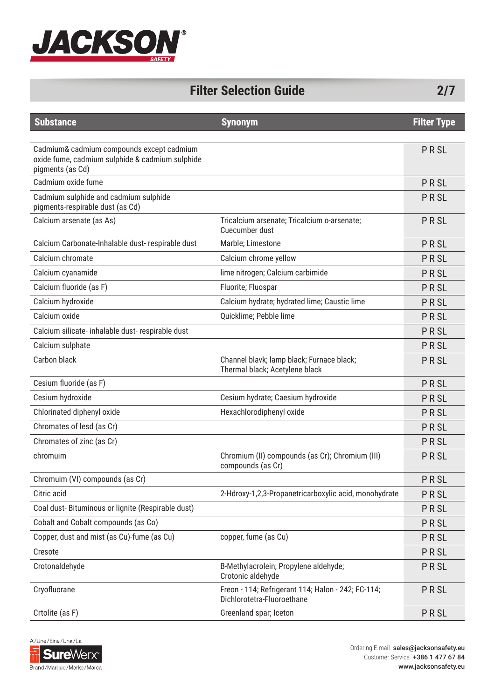

| <b>Filter Selection Guide</b> |  |
|-------------------------------|--|
|-------------------------------|--|

| <b>Substance</b>                                                                                                 | <b>Synonym</b>                                                                   | <b>Filter Type</b> |
|------------------------------------------------------------------------------------------------------------------|----------------------------------------------------------------------------------|--------------------|
|                                                                                                                  |                                                                                  |                    |
| Cadmium& cadmium compounds except cadmium<br>oxide fume, cadmium sulphide & cadmium sulphide<br>pigments (as Cd) |                                                                                  | <b>PRSL</b>        |
| Cadmium oxide fume                                                                                               |                                                                                  | PRSL               |
| Cadmium sulphide and cadmium sulphide<br>pigments-respirable dust (as Cd)                                        |                                                                                  | PRSL               |
| Calcium arsenate (as As)                                                                                         | Tricalcium arsenate; Tricalcium o-arsenate;<br>Cuecumber dust                    | PRSL               |
| Calcium Carbonate-Inhalable dust-respirable dust                                                                 | Marble; Limestone                                                                | PRSL               |
| Calcium chromate                                                                                                 | Calcium chrome yellow                                                            | PRSL               |
| Calcium cyanamide                                                                                                | lime nitrogen; Calcium carbimide                                                 | <b>PRSL</b>        |
| Calcium fluoride (as F)                                                                                          | Fluorite; Fluospar                                                               | PRSL               |
| Calcium hydroxide                                                                                                | Calcium hydrate; hydrated lime; Caustic lime                                     | PRSL               |
| Calcium oxide                                                                                                    | Quicklime; Pebble lime                                                           | PRSL               |
| Calcium silicate- inhalable dust- respirable dust                                                                |                                                                                  | PRSL               |
| Calcium sulphate                                                                                                 |                                                                                  | PRSL               |
| Carbon black                                                                                                     | Channel blavk; lamp black; Furnace black;<br>Thermal black; Acetylene black      | PRSL               |
| Cesium fluoride (as F)                                                                                           |                                                                                  | PRSL               |
| Cesium hydroxide                                                                                                 | Cesium hydrate; Caesium hydroxide                                                | PRSL               |
| Chlorinated diphenyl oxide                                                                                       | Hexachlorodiphenyl oxide                                                         | <b>PRSL</b>        |
| Chromates of lesd (as Cr)                                                                                        |                                                                                  | PRSL               |
| Chromates of zinc (as Cr)                                                                                        |                                                                                  | PRSL               |
| chromuim                                                                                                         | Chromium (II) compounds (as Cr); Chromium (III)<br>compounds (as Cr)             | <b>PRSL</b>        |
| Chromuim (VI) compounds (as Cr)                                                                                  |                                                                                  | PRSL               |
| Citric acid                                                                                                      | 2-Hdroxy-1,2,3-Propanetricarboxylic acid, monohydrate                            | <b>PRSL</b>        |
| Coal dust-Bituminous or lignite (Respirable dust)                                                                |                                                                                  | <b>PRSL</b>        |
| Cobalt and Cobalt compounds (as Co)                                                                              |                                                                                  | <b>PRSL</b>        |
| Copper, dust and mist (as Cu)-fume (as Cu)                                                                       | copper, fume (as Cu)                                                             | <b>PRSL</b>        |
| Cresote                                                                                                          |                                                                                  | <b>PRSL</b>        |
| Crotonaldehyde                                                                                                   | B-Methylacrolein; Propylene aldehyde;<br>Crotonic aldehyde                       | <b>PRSL</b>        |
| Cryofluorane                                                                                                     | Freon - 114; Refrigerant 114; Halon - 242; FC-114;<br>Dichlorotetra-Fluoroethane | <b>PRSL</b>        |
| Crtolite (as F)                                                                                                  | Greenland spar; Iceton                                                           | <b>PRSL</b>        |

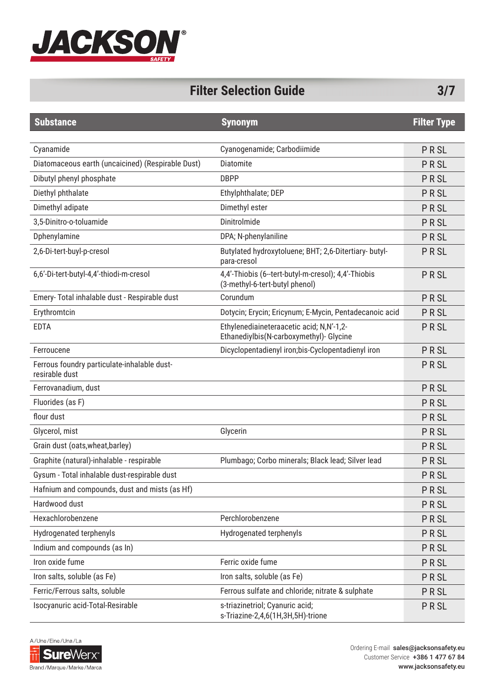

#### **Filter Selection Guide 3/7**

| <b>Substance</b>                                              | <b>Synonym</b>                                                                        | <b>Filter Type</b> |
|---------------------------------------------------------------|---------------------------------------------------------------------------------------|--------------------|
|                                                               |                                                                                       |                    |
| Cyanamide                                                     | Cyanogenamide; Carbodiimide                                                           | <b>PRSL</b>        |
| Diatomaceous earth (uncaicined) (Respirable Dust)             | Diatomite                                                                             | <b>PRSL</b>        |
| Dibutyl phenyl phosphate                                      | <b>DBPP</b>                                                                           | <b>PRSL</b>        |
| Diethyl phthalate                                             | Ethylphthalate; DEP                                                                   | <b>PRSL</b>        |
| Dimethyl adipate                                              | Dimethyl ester                                                                        | <b>PRSL</b>        |
| 3,5-Dinitro-o-toluamide                                       | Dinitrolmide                                                                          | <b>PRSL</b>        |
| Dphenylamine                                                  | DPA; N-phenylaniline                                                                  | <b>PRSL</b>        |
| 2,6-Di-tert-buyl-p-cresol                                     | Butylated hydroxytoluene; BHT; 2,6-Ditertiary- butyl-<br>para-cresol                  | <b>PRSL</b>        |
| 6,6'-Di-tert-butyl-4,4'-thiodi-m-cresol                       | 4,4'-Thiobis (6--tert-butyl-m-cresol); 4,4'-Thiobis<br>(3-methyl-6-tert-butyl phenol) | <b>PRSL</b>        |
| Emery- Total inhalable dust - Respirable dust                 | Corundum                                                                              | <b>PRSL</b>        |
| Erythromtcin                                                  | Dotycin; Erycin; Ericynum; E-Mycin, Pentadecanoic acid                                | <b>PRSL</b>        |
| <b>EDTA</b>                                                   | Ethylenediaineteraacetic acid; N,N'-1,2-<br>Ethanediylbis(N-carboxymethyl)- Glycine   | <b>PRSL</b>        |
| Ferroucene                                                    | Dicyclopentadienyl iron;bis-Cyclopentadienyl iron                                     | PRSL               |
| Ferrous foundry particulate-inhalable dust-<br>resirable dust |                                                                                       | <b>PRSL</b>        |
| Ferrovanadium, dust                                           |                                                                                       | <b>PRSL</b>        |
| Fluorides (as F)                                              |                                                                                       | <b>PRSL</b>        |
| flour dust                                                    |                                                                                       | <b>PRSL</b>        |
| Glycerol, mist                                                | Glycerin                                                                              | <b>PRSL</b>        |
| Grain dust (oats, wheat, barley)                              |                                                                                       | <b>PRSL</b>        |
| Graphite (natural)-inhalable - respirable                     | Plumbago; Corbo minerals; Black lead; Silver lead                                     | <b>PRSL</b>        |
| Gysum - Total inhalable dust-respirable dust                  |                                                                                       | <b>PRSL</b>        |
| Hafnium and compounds, dust and mists (as Hf)                 |                                                                                       | <b>PRSL</b>        |
| Hardwood dust                                                 |                                                                                       | <b>PRSL</b>        |
| Hexachlorobenzene                                             | Perchlorobenzene                                                                      | <b>PRSL</b>        |
| Hydrogenated terphenyls                                       | Hydrogenated terphenyls                                                               | <b>PRSL</b>        |
| Indium and compounds (as In)                                  |                                                                                       | <b>PRSL</b>        |
| Iron oxide fume                                               | Ferric oxide fume                                                                     | <b>PRSL</b>        |
| Iron salts, soluble (as Fe)                                   | Iron salts, soluble (as Fe)                                                           | <b>PRSL</b>        |
| Ferric/Ferrous salts, soluble                                 | Ferrous sulfate and chloride; nitrate & sulphate                                      | <b>PRSL</b>        |
| Isocyanuric acid-Total-Resirable                              | s-triazinetriol; Cyanuric acid;<br>s-Triazine-2,4,6(1H,3H,5H)-trione                  | PRSL               |

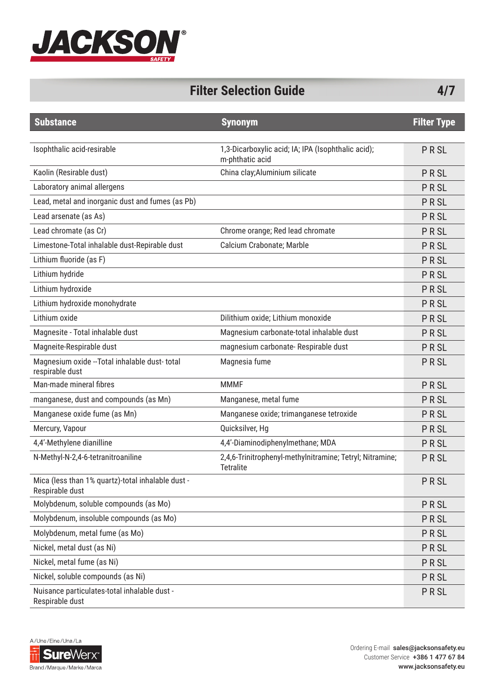

## **Filter Selection Guide 4/7**

| <b>Substance</b>                                                     | <b>Synonym</b>                                                               | <b>Filter Type</b> |
|----------------------------------------------------------------------|------------------------------------------------------------------------------|--------------------|
|                                                                      |                                                                              |                    |
| Isophthalic acid-resirable                                           | 1,3-Dicarboxylic acid; IA; IPA (Isophthalic acid);<br>m-phthatic acid        | PRSL               |
| Kaolin (Resirable dust)                                              | China clay; Aluminium silicate                                               | PRSL               |
| Laboratory animal allergens                                          |                                                                              | <b>PRSL</b>        |
| Lead, metal and inorganic dust and fumes (as Pb)                     |                                                                              | <b>PRSL</b>        |
| Lead arsenate (as As)                                                |                                                                              | <b>PRSL</b>        |
| Lead chromate (as Cr)                                                | Chrome orange; Red lead chromate                                             | <b>PRSL</b>        |
| Limestone-Total inhalable dust-Repirable dust                        | Calcium Crabonate; Marble                                                    | PRSL               |
| Lithium fluoride (as F)                                              |                                                                              | PRSL               |
| Lithium hydride                                                      |                                                                              | PRSL               |
| Lithium hydroxide                                                    |                                                                              | PRSL               |
| Lithium hydroxide monohydrate                                        |                                                                              | PRSL               |
| Lithium oxide                                                        | Dilithium oxide; Lithium monoxide                                            | PRSL               |
| Magnesite - Total inhalable dust                                     | Magnesium carbonate-total inhalable dust                                     | <b>PRSL</b>        |
| Magneite-Respirable dust                                             | magnesium carbonate- Respirable dust                                         | PRSL               |
| Magnesium oxide -- Total inhalable dust-total<br>respirable dust     | Magnesia fume                                                                | <b>PRSL</b>        |
| Man-made mineral fibres                                              | <b>MMMF</b>                                                                  | PRSL               |
| manganese, dust and compounds (as Mn)                                | Manganese, metal fume                                                        | PRSL               |
| Manganese oxide fume (as Mn)                                         | Manganese oxide; trimanganese tetroxide                                      | PRSL               |
| Mercury, Vapour                                                      | Quicksilver, Hg                                                              | PRSL               |
| 4,4'-Methylene dianilline                                            | 4,4'-Diaminodiphenylmethane; MDA                                             | PRSL               |
| N-Methyl-N-2,4-6-tetranitroaniline                                   | 2,4,6-Trinitrophenyl-methylnitramine; Tetryl; Nitramine;<br><b>Tetralite</b> | PRSL               |
| Mica (less than 1% quartz)-total inhalable dust -<br>Respirable dust |                                                                              | PRSL               |
| Molybdenum, soluble compounds (as Mo)                                |                                                                              | <b>PRSL</b>        |
| Molybdenum, insoluble compounds (as Mo)                              |                                                                              | <b>PRSL</b>        |
| Molybdenum, metal fume (as Mo)                                       |                                                                              | <b>PRSL</b>        |
| Nickel, metal dust (as Ni)                                           |                                                                              | <b>PRSL</b>        |
| Nickel, metal fume (as Ni)                                           |                                                                              | <b>PRSL</b>        |
| Nickel, soluble compounds (as Ni)                                    |                                                                              | <b>PRSL</b>        |
| Nuisance particulates-total inhalable dust -<br>Respirable dust      |                                                                              | PRSL               |

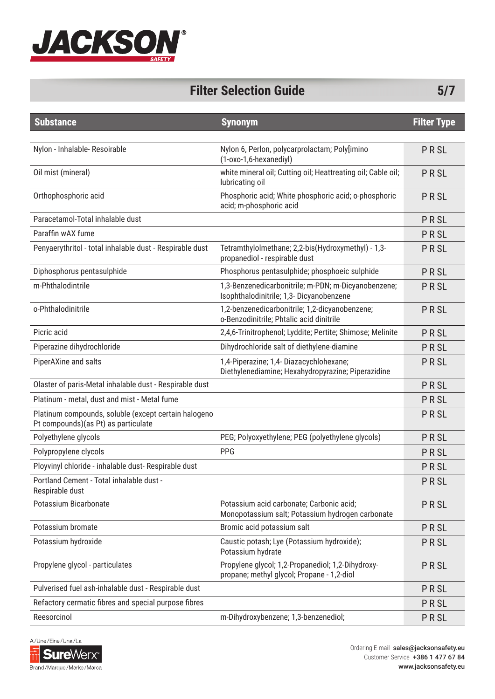

# **Filter Selection Guide 5/7**

| <b>Substance</b>                                                                            | <b>Synonym</b>                                                                                  | <b>Filter Type</b> |
|---------------------------------------------------------------------------------------------|-------------------------------------------------------------------------------------------------|--------------------|
|                                                                                             |                                                                                                 |                    |
| Nylon - Inhalable- Resoirable                                                               | Nylon 6, Perlon, polycarprolactam; Poly[imino<br>(1-oxo-1,6-hexanediyl)                         | <b>PRSL</b>        |
| Oil mist (mineral)                                                                          | white mineral oil; Cutting oil; Heattreating oil; Cable oil;<br>lubricating oil                 | <b>PRSL</b>        |
| Orthophosphoric acid                                                                        | Phosphoric acid; White phosphoric acid; o-phosphoric<br>acid; m-phosphoric acid                 | <b>PRSL</b>        |
| Paracetamol-Total inhalable dust                                                            |                                                                                                 | <b>PRSL</b>        |
| Paraffin wAX fume                                                                           |                                                                                                 | <b>PRSL</b>        |
| Penyaerythritol - total inhalable dust - Respirable dust                                    | Tetramthylolmethane; 2,2-bis(Hydroxymethyl) - 1,3-<br>propanediol - respirable dust             | <b>PRSL</b>        |
| Diphosphorus pentasulphide                                                                  | Phosphorus pentasulphide; phosphoeic sulphide                                                   | <b>PRSL</b>        |
| m-Phthalodintrile                                                                           | 1,3-Benzenedicarbonitrile; m-PDN; m-Dicyanobenzene;<br>Isophthalodinitrile; 1,3- Dicyanobenzene | <b>PRSL</b>        |
| o-Phthalodinitrile                                                                          | 1,2-benzenedicarbonitrile; 1,2-dicyanobenzene;<br>o-Benzodinitrile; Phtalic acid dinitrile      | <b>PRSL</b>        |
| Picric acid                                                                                 | 2,4,6-Trinitrophenol; Lyddite; Pertite; Shimose; Melinite                                       | <b>PRSL</b>        |
| Piperazine dihydrochloride                                                                  | Dihydrochloride salt of diethylene-diamine                                                      | <b>PRSL</b>        |
| PiperAXine and salts                                                                        | 1,4-Piperazine; 1,4- Diazacychlohexane;<br>Diethylenediamine; Hexahydropyrazine; Piperazidine   | <b>PRSL</b>        |
| Olaster of paris-Metal inhalable dust - Respirable dust                                     |                                                                                                 | <b>PRSL</b>        |
| Platinum - metal, dust and mist - Metal fume                                                |                                                                                                 | PRSL               |
| Platinum compounds, soluble (except certain halogeno<br>Pt compounds)(as Pt) as particulate |                                                                                                 | <b>PRSL</b>        |
| Polyethylene glycols                                                                        | PEG; Polyoxyethylene; PEG (polyethylene glycols)                                                | <b>PRSL</b>        |
| Polypropylene clycols                                                                       | PPG                                                                                             | <b>PRSL</b>        |
| Ployvinyl chloride - inhalable dust- Respirable dust                                        |                                                                                                 | <b>PRSL</b>        |
| Portland Cement - Total inhalable dust -<br>Respirable dust                                 |                                                                                                 | <b>PRSL</b>        |
| Potassium Bicarbonate                                                                       | Potassium acid carbonate; Carbonic acid;<br>Monopotassium salt; Potassium hydrogen carbonate    | <b>PRSL</b>        |
| Potassium bromate                                                                           | Bromic acid potassium salt                                                                      | <b>PRSL</b>        |
| Potassium hydroxide                                                                         | Caustic potash; Lye (Potassium hydroxide);<br>Potassium hydrate                                 | PRSL               |
| Propylene glycol - particulates                                                             | Propylene glycol; 1,2-Propanediol; 1,2-Dihydroxy-<br>propane; methyl glycol; Propane - 1,2-diol | <b>PRSL</b>        |
| Pulverised fuel ash-inhalable dust - Respirable dust                                        |                                                                                                 | <b>PRSL</b>        |
| Refactory cermatic fibres and special purpose fibres                                        |                                                                                                 | <b>PRSL</b>        |
| Reesorcinol                                                                                 | m-Dihydroxybenzene; 1,3-benzenediol;                                                            | <b>PRSL</b>        |

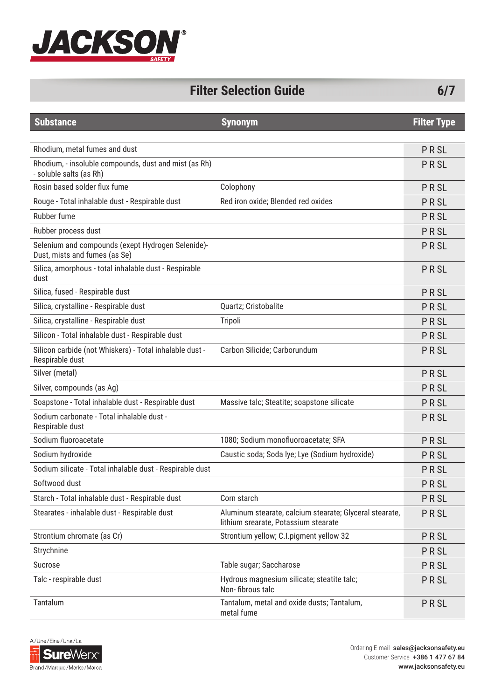

| <b>Filter Selection Guide</b> | 6/7 |
|-------------------------------|-----|
|-------------------------------|-----|

| <b>Substance</b>                                                                   | <b>Synonym</b>                                                                                  | <b>Filter Type</b> |
|------------------------------------------------------------------------------------|-------------------------------------------------------------------------------------------------|--------------------|
|                                                                                    |                                                                                                 |                    |
| Rhodium, metal fumes and dust                                                      |                                                                                                 | <b>PRSL</b>        |
| Rhodium, - insoluble compounds, dust and mist (as Rh)<br>- soluble salts (as Rh)   |                                                                                                 | <b>PRSL</b>        |
| Rosin based solder flux fume                                                       | Colophony                                                                                       | <b>PRSL</b>        |
| Rouge - Total inhalable dust - Respirable dust                                     | Red iron oxide; Blended red oxides                                                              | <b>PRSL</b>        |
| Rubber fume                                                                        |                                                                                                 | <b>PRSL</b>        |
| Rubber process dust                                                                |                                                                                                 | <b>PRSL</b>        |
| Selenium and compounds (exept Hydrogen Selenide)-<br>Dust, mists and fumes (as Se) |                                                                                                 | <b>PRSL</b>        |
| Silica, amorphous - total inhalable dust - Respirable<br>dust                      |                                                                                                 | <b>PRSL</b>        |
| Silica, fused - Respirable dust                                                    |                                                                                                 | <b>PRSL</b>        |
| Silica, crystalline - Respirable dust                                              | Quartz; Cristobalite                                                                            | <b>PRSL</b>        |
| Silica, crystalline - Respirable dust                                              | Tripoli                                                                                         | <b>PRSL</b>        |
| Silicon - Total inhalable dust - Respirable dust                                   |                                                                                                 | <b>PRSL</b>        |
| Silicon carbide (not Whiskers) - Total inhalable dust -<br>Respirable dust         | Carbon Silicide; Carborundum                                                                    | <b>PRSL</b>        |
| Silver (metal)                                                                     |                                                                                                 | <b>PRSL</b>        |
| Silver, compounds (as Ag)                                                          |                                                                                                 | <b>PRSL</b>        |
| Soapstone - Total inhalable dust - Respirable dust                                 | Massive talc; Steatite; soapstone silicate                                                      | <b>PRSL</b>        |
| Sodium carbonate - Total inhalable dust -<br>Respirable dust                       |                                                                                                 | <b>PRSL</b>        |
| Sodium fluoroacetate                                                               | 1080; Sodium monofluoroacetate; SFA                                                             | <b>PRSL</b>        |
| Sodium hydroxide                                                                   | Caustic soda; Soda Iye; Lye (Sodium hydroxide)                                                  | <b>PRSL</b>        |
| Sodium silicate - Total inhalable dust - Respirable dust                           |                                                                                                 | <b>PRSL</b>        |
| Softwood dust                                                                      |                                                                                                 | <b>PRSL</b>        |
| Starch - Total inhalable dust - Respirable dust                                    | Corn starch                                                                                     | <b>PRSL</b>        |
| Stearates - inhalable dust - Respirable dust                                       | Aluminum stearate, calcium stearate; Glyceral stearate,<br>lithium srearate, Potassium stearate | <b>PRSL</b>        |
| Strontium chromate (as Cr)                                                         | Strontium yellow; C.I.pigment yellow 32                                                         | <b>PRSL</b>        |
| Strychnine                                                                         |                                                                                                 | <b>PRSL</b>        |
| Sucrose                                                                            | Table sugar; Saccharose                                                                         | <b>PRSL</b>        |
| Talc - respirable dust                                                             | Hydrous magnesium silicate; steatite talc;<br>Non-fibrous talc                                  | <b>PRSL</b>        |
| Tantalum                                                                           | Tantalum, metal and oxide dusts; Tantalum,<br>metal fume                                        | <b>PRSL</b>        |